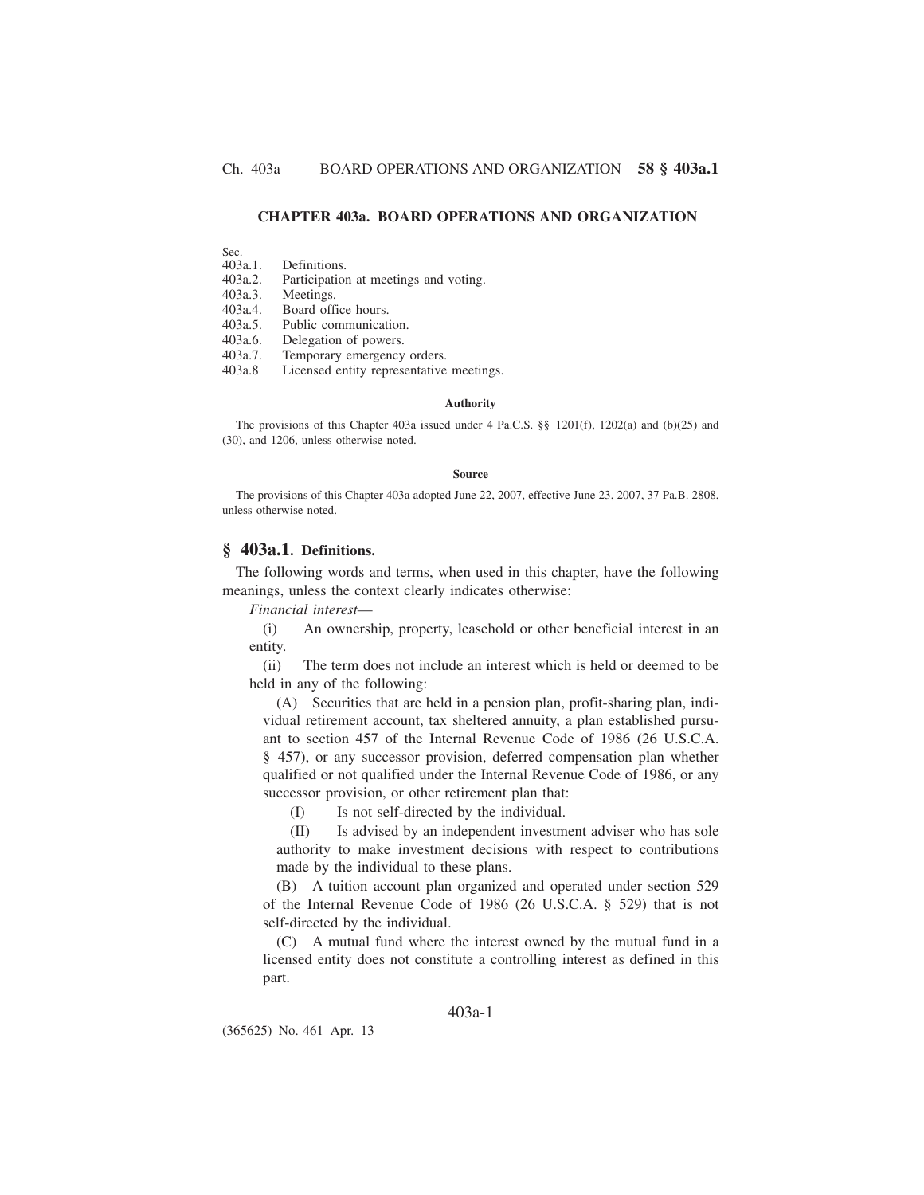# **CHAPTER 403a. BOARD OPERATIONS AND ORGANIZATION**

Sec.<br>403a.1.

403a.1. Definitions.

Participation at meetings and voting.

403a.3. Meetings.

403a.4. Board office hours.

403a.5. Public communication.

403a.6. Delegation of powers.<br>403a.7. Temporary emergency

Temporary emergency orders.

403a.8 Licensed entity representative meetings.

#### **Authority**

The provisions of this Chapter 403a issued under 4 Pa.C.S. §§ 1201(f), 1202(a) and (b)(25) and (30), and 1206, unless otherwise noted.

#### **Source**

The provisions of this Chapter 403a adopted June 22, 2007, effective June 23, 2007, 37 Pa.B. 2808, unless otherwise noted.

## **§ 403a.1. Definitions.**

The following words and terms, when used in this chapter, have the following meanings, unless the context clearly indicates otherwise:

*Financial interest*—

(i) An ownership, property, leasehold or other beneficial interest in an entity.

(ii) The term does not include an interest which is held or deemed to be held in any of the following:

(A) Securities that are held in a pension plan, profit-sharing plan, individual retirement account, tax sheltered annuity, a plan established pursuant to section 457 of the Internal Revenue Code of 1986 (26 U.S.C.A. § 457), or any successor provision, deferred compensation plan whether qualified or not qualified under the Internal Revenue Code of 1986, or any successor provision, or other retirement plan that:

(I) Is not self-directed by the individual.

(II) Is advised by an independent investment adviser who has sole authority to make investment decisions with respect to contributions made by the individual to these plans.

(B) A tuition account plan organized and operated under section 529 of the Internal Revenue Code of 1986 (26 U.S.C.A. § 529) that is not self-directed by the individual.

(C) A mutual fund where the interest owned by the mutual fund in a licensed entity does not constitute a controlling interest as defined in this part.

# 403a-1

(365625) No. 461 Apr. 13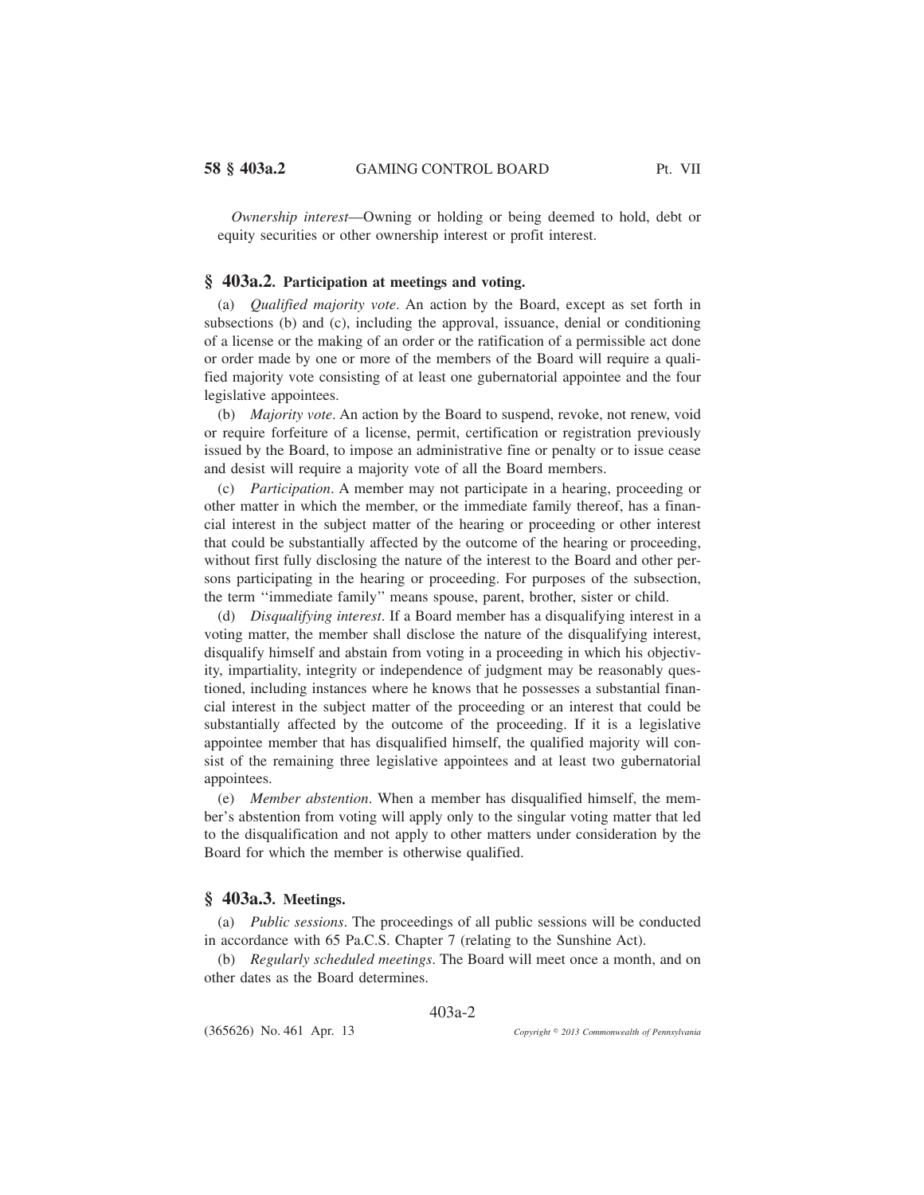*Ownership interest*—Owning or holding or being deemed to hold, debt or equity securities or other ownership interest or profit interest.

# **§ 403a.2. Participation at meetings and voting.**

(a) *Qualified majority vote*. An action by the Board, except as set forth in subsections (b) and (c), including the approval, issuance, denial or conditioning of a license or the making of an order or the ratification of a permissible act done or order made by one or more of the members of the Board will require a qualified majority vote consisting of at least one gubernatorial appointee and the four legislative appointees.

(b) *Majority vote*. An action by the Board to suspend, revoke, not renew, void or require forfeiture of a license, permit, certification or registration previously issued by the Board, to impose an administrative fine or penalty or to issue cease and desist will require a majority vote of all the Board members.

(c) *Participation*. A member may not participate in a hearing, proceeding or other matter in which the member, or the immediate family thereof, has a financial interest in the subject matter of the hearing or proceeding or other interest that could be substantially affected by the outcome of the hearing or proceeding, without first fully disclosing the nature of the interest to the Board and other persons participating in the hearing or proceeding. For purposes of the subsection, the term ''immediate family'' means spouse, parent, brother, sister or child.

(d) *Disqualifying interest*. If a Board member has a disqualifying interest in a voting matter, the member shall disclose the nature of the disqualifying interest, disqualify himself and abstain from voting in a proceeding in which his objectivity, impartiality, integrity or independence of judgment may be reasonably questioned, including instances where he knows that he possesses a substantial financial interest in the subject matter of the proceeding or an interest that could be substantially affected by the outcome of the proceeding. If it is a legislative appointee member that has disqualified himself, the qualified majority will consist of the remaining three legislative appointees and at least two gubernatorial appointees.

(e) *Member abstention*. When a member has disqualified himself, the member's abstention from voting will apply only to the singular voting matter that led to the disqualification and not apply to other matters under consideration by the Board for which the member is otherwise qualified.

# **§ 403a.3. Meetings.**

(a) *Public sessions*. The proceedings of all public sessions will be conducted in accordance with 65 Pa.C.S. Chapter 7 (relating to the Sunshine Act).

(b) *Regularly scheduled meetings*. The Board will meet once a month, and on other dates as the Board determines.

403a-2

(365626) No. 461 Apr. 13

*2013 Commonwealth of Pennsylvania*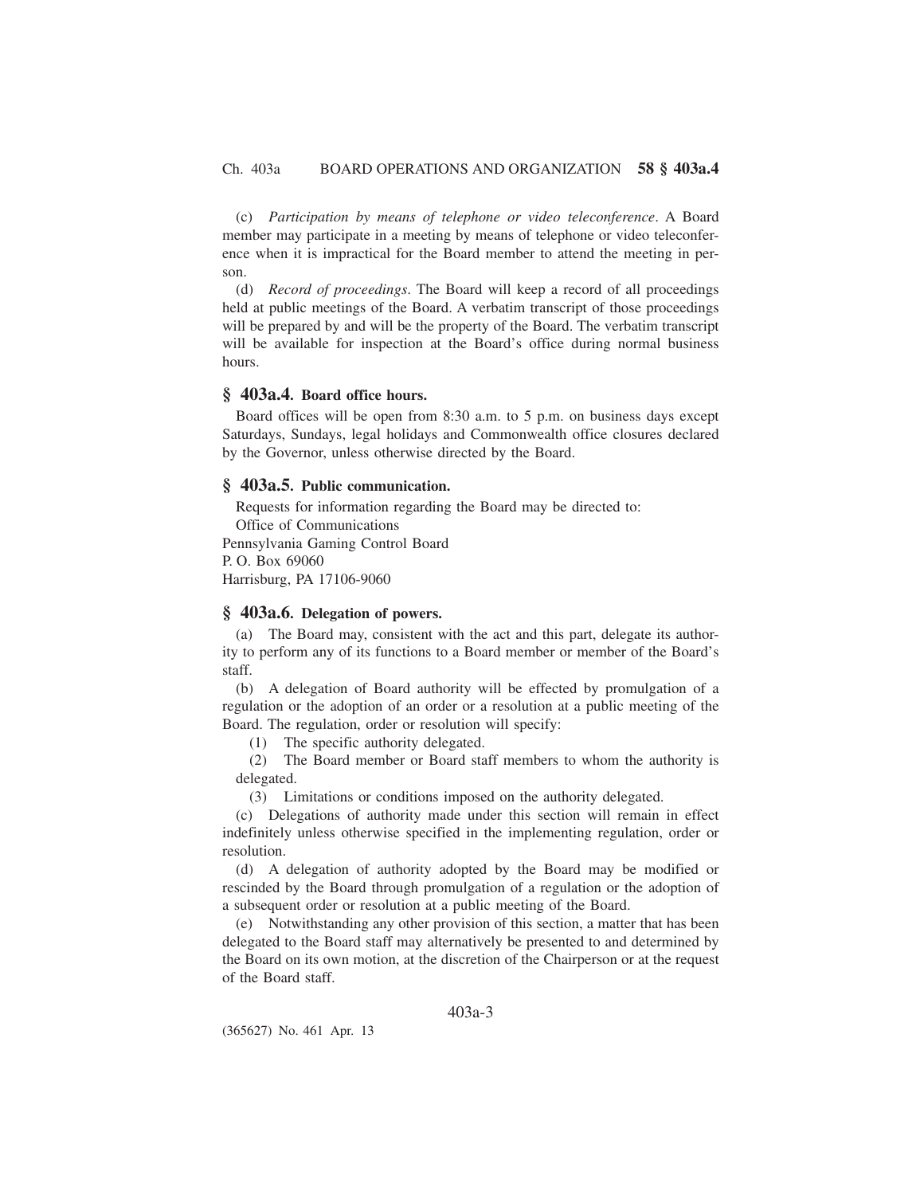(c) *Participation by means of telephone or video teleconference*. A Board member may participate in a meeting by means of telephone or video teleconference when it is impractical for the Board member to attend the meeting in person.

(d) *Record of proceedings*. The Board will keep a record of all proceedings held at public meetings of the Board. A verbatim transcript of those proceedings will be prepared by and will be the property of the Board. The verbatim transcript will be available for inspection at the Board's office during normal business hours.

# **§ 403a.4. Board office hours.**

Board offices will be open from 8:30 a.m. to 5 p.m. on business days except Saturdays, Sundays, legal holidays and Commonwealth office closures declared by the Governor, unless otherwise directed by the Board.

### **§ 403a.5. Public communication.**

Requests for information regarding the Board may be directed to:

Office of Communications

Pennsylvania Gaming Control Board

P. O. Box 69060

Harrisburg, PA 17106-9060

### **§ 403a.6. Delegation of powers.**

(a) The Board may, consistent with the act and this part, delegate its authority to perform any of its functions to a Board member or member of the Board's staff.

(b) A delegation of Board authority will be effected by promulgation of a regulation or the adoption of an order or a resolution at a public meeting of the Board. The regulation, order or resolution will specify:

(1) The specific authority delegated.

(2) The Board member or Board staff members to whom the authority is delegated.

(3) Limitations or conditions imposed on the authority delegated.

(c) Delegations of authority made under this section will remain in effect indefinitely unless otherwise specified in the implementing regulation, order or resolution.

(d) A delegation of authority adopted by the Board may be modified or rescinded by the Board through promulgation of a regulation or the adoption of a subsequent order or resolution at a public meeting of the Board.

(e) Notwithstanding any other provision of this section, a matter that has been delegated to the Board staff may alternatively be presented to and determined by the Board on its own motion, at the discretion of the Chairperson or at the request of the Board staff.

# 403a-3

(365627) No. 461 Apr. 13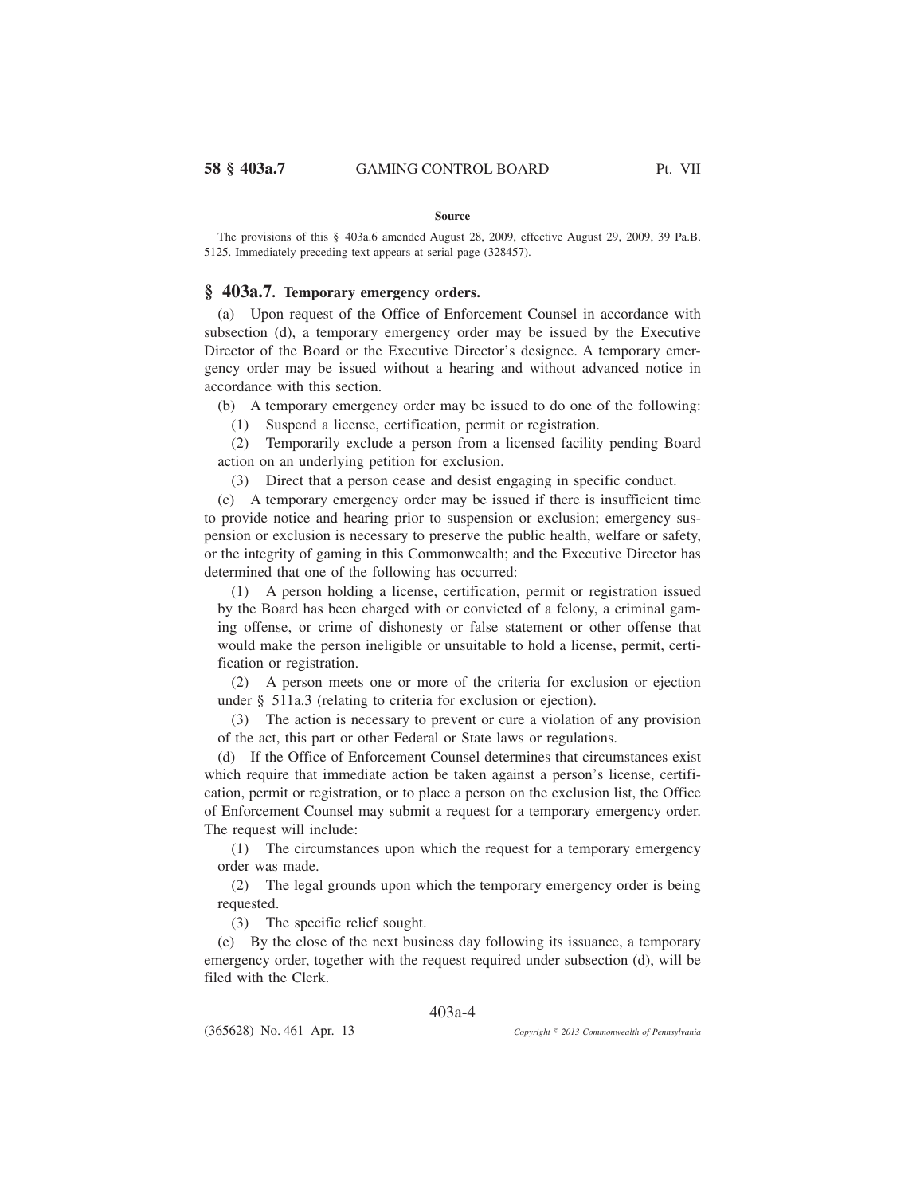#### **Source**

The provisions of this § 403a.6 amended August 28, 2009, effective August 29, 2009, 39 Pa.B. 5125. Immediately preceding text appears at serial page (328457).

# **§ 403a.7. Temporary emergency orders.**

(a) Upon request of the Office of Enforcement Counsel in accordance with subsection (d), a temporary emergency order may be issued by the Executive Director of the Board or the Executive Director's designee. A temporary emergency order may be issued without a hearing and without advanced notice in accordance with this section.

(b) A temporary emergency order may be issued to do one of the following:

(1) Suspend a license, certification, permit or registration.

(2) Temporarily exclude a person from a licensed facility pending Board action on an underlying petition for exclusion.

(3) Direct that a person cease and desist engaging in specific conduct.

(c) A temporary emergency order may be issued if there is insufficient time to provide notice and hearing prior to suspension or exclusion; emergency suspension or exclusion is necessary to preserve the public health, welfare or safety, or the integrity of gaming in this Commonwealth; and the Executive Director has determined that one of the following has occurred:

(1) A person holding a license, certification, permit or registration issued by the Board has been charged with or convicted of a felony, a criminal gaming offense, or crime of dishonesty or false statement or other offense that would make the person ineligible or unsuitable to hold a license, permit, certification or registration.

(2) A person meets one or more of the criteria for exclusion or ejection under § 511a.3 (relating to criteria for exclusion or ejection).

(3) The action is necessary to prevent or cure a violation of any provision of the act, this part or other Federal or State laws or regulations.

(d) If the Office of Enforcement Counsel determines that circumstances exist which require that immediate action be taken against a person's license, certification, permit or registration, or to place a person on the exclusion list, the Office of Enforcement Counsel may submit a request for a temporary emergency order. The request will include:

(1) The circumstances upon which the request for a temporary emergency order was made.

(2) The legal grounds upon which the temporary emergency order is being requested.

(3) The specific relief sought.

(e) By the close of the next business day following its issuance, a temporary emergency order, together with the request required under subsection (d), will be filed with the Clerk.

#### 403a-4

(365628) No. 461 Apr. 13

*2013 Commonwealth of Pennsylvania*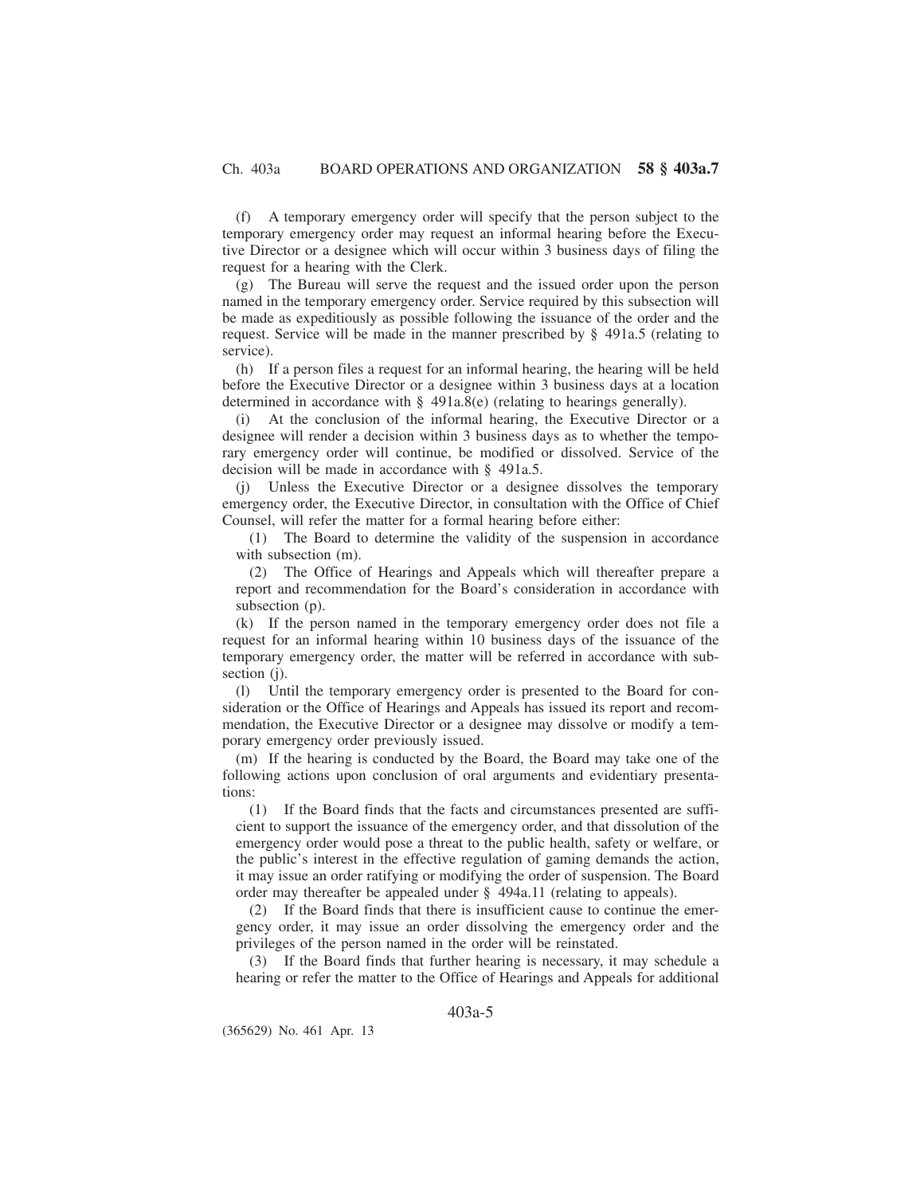(f) A temporary emergency order will specify that the person subject to the temporary emergency order may request an informal hearing before the Executive Director or a designee which will occur within 3 business days of filing the request for a hearing with the Clerk.

(g) The Bureau will serve the request and the issued order upon the person named in the temporary emergency order. Service required by this subsection will be made as expeditiously as possible following the issuance of the order and the request. Service will be made in the manner prescribed by  $\S$  491a.5 (relating to service).

(h) If a person files a request for an informal hearing, the hearing will be held before the Executive Director or a designee within 3 business days at a location determined in accordance with  $\S$  491a.8(e) (relating to hearings generally).

(i) At the conclusion of the informal hearing, the Executive Director or a designee will render a decision within 3 business days as to whether the temporary emergency order will continue, be modified or dissolved. Service of the decision will be made in accordance with § 491a.5.

(j) Unless the Executive Director or a designee dissolves the temporary emergency order, the Executive Director, in consultation with the Office of Chief Counsel, will refer the matter for a formal hearing before either:

(1) The Board to determine the validity of the suspension in accordance with subsection (m).

(2) The Office of Hearings and Appeals which will thereafter prepare a report and recommendation for the Board's consideration in accordance with subsection (p).

(k) If the person named in the temporary emergency order does not file a request for an informal hearing within 10 business days of the issuance of the temporary emergency order, the matter will be referred in accordance with subsection (j).

(l) Until the temporary emergency order is presented to the Board for consideration or the Office of Hearings and Appeals has issued its report and recommendation, the Executive Director or a designee may dissolve or modify a temporary emergency order previously issued.

(m) If the hearing is conducted by the Board, the Board may take one of the following actions upon conclusion of oral arguments and evidentiary presentations:

(1) If the Board finds that the facts and circumstances presented are sufficient to support the issuance of the emergency order, and that dissolution of the emergency order would pose a threat to the public health, safety or welfare, or the public's interest in the effective regulation of gaming demands the action, it may issue an order ratifying or modifying the order of suspension. The Board order may thereafter be appealed under § 494a.11 (relating to appeals).

(2) If the Board finds that there is insufficient cause to continue the emergency order, it may issue an order dissolving the emergency order and the privileges of the person named in the order will be reinstated.

(3) If the Board finds that further hearing is necessary, it may schedule a hearing or refer the matter to the Office of Hearings and Appeals for additional

403a-5

(365629) No. 461 Apr. 13